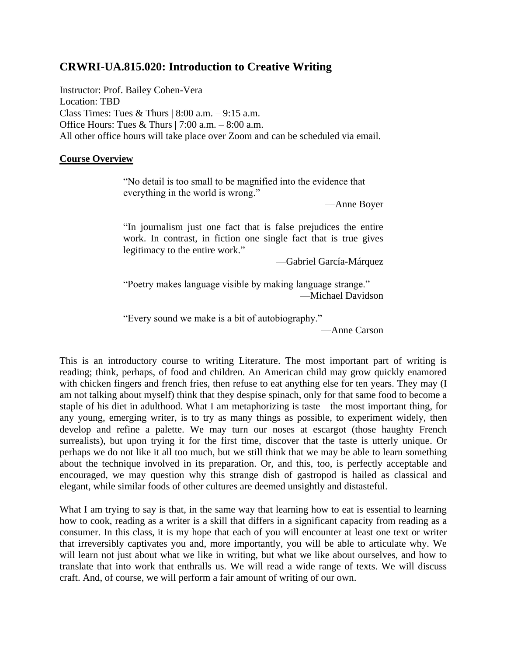# **CRWRI-UA.815.020: Introduction to Creative Writing**

Instructor: Prof. Bailey Cohen-Vera Location: TBD Class Times: Tues & Thurs  $| 8:00 a.m. - 9:15 a.m.$ Office Hours: Tues & Thurs  $|7:00$  a.m.  $-8:00$  a.m. All other office hours will take place over Zoom and can be scheduled via email.

### **Course Overview**

"No detail is too small to be magnified into the evidence that everything in the world is wrong."

—Anne Boyer

"In journalism just one fact that is false prejudices the entire work. In contrast, in fiction one single fact that is true gives legitimacy to the entire work."

—Gabriel García-Márquez

"Poetry makes language visible by making language strange." —Michael Davidson

"Every sound we make is a bit of autobiography."

—Anne Carson

This is an introductory course to writing Literature. The most important part of writing is reading; think, perhaps, of food and children. An American child may grow quickly enamored with chicken fingers and french fries, then refuse to eat anything else for ten years. They may (I am not talking about myself) think that they despise spinach, only for that same food to become a staple of his diet in adulthood. What I am metaphorizing is taste—the most important thing, for any young, emerging writer, is to try as many things as possible, to experiment widely, then develop and refine a palette. We may turn our noses at escargot (those haughty French surrealists), but upon trying it for the first time, discover that the taste is utterly unique. Or perhaps we do not like it all too much, but we still think that we may be able to learn something about the technique involved in its preparation. Or, and this, too, is perfectly acceptable and encouraged, we may question why this strange dish of gastropod is hailed as classical and elegant, while similar foods of other cultures are deemed unsightly and distasteful.

What I am trying to say is that, in the same way that learning how to eat is essential to learning how to cook, reading as a writer is a skill that differs in a significant capacity from reading as a consumer. In this class, it is my hope that each of you will encounter at least one text or writer that irreversibly captivates you and, more importantly, you will be able to articulate why. We will learn not just about what we like in writing, but what we like about ourselves, and how to translate that into work that enthralls us. We will read a wide range of texts. We will discuss craft. And, of course, we will perform a fair amount of writing of our own.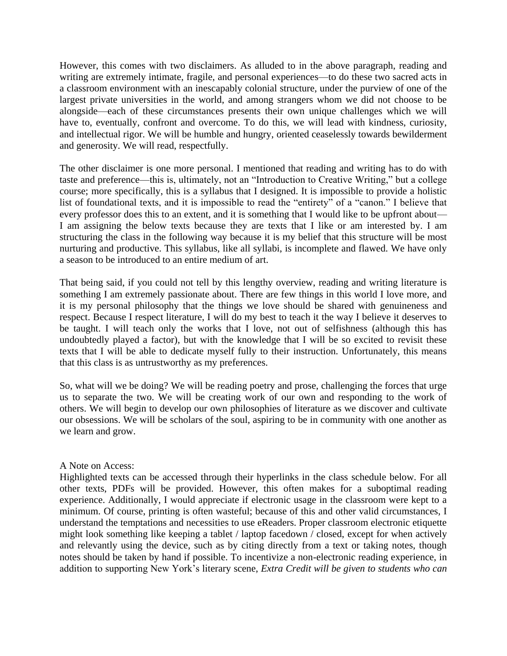However, this comes with two disclaimers. As alluded to in the above paragraph, reading and writing are extremely intimate, fragile, and personal experiences—to do these two sacred acts in a classroom environment with an inescapably colonial structure, under the purview of one of the largest private universities in the world, and among strangers whom we did not choose to be alongside—each of these circumstances presents their own unique challenges which we will have to, eventually, confront and overcome. To do this, we will lead with kindness, curiosity, and intellectual rigor. We will be humble and hungry, oriented ceaselessly towards bewilderment and generosity. We will read, respectfully.

The other disclaimer is one more personal. I mentioned that reading and writing has to do with taste and preference—this is, ultimately, not an "Introduction to Creative Writing," but a college course; more specifically, this is a syllabus that I designed. It is impossible to provide a holistic list of foundational texts, and it is impossible to read the "entirety" of a "canon." I believe that every professor does this to an extent, and it is something that I would like to be upfront about— I am assigning the below texts because they are texts that I like or am interested by. I am structuring the class in the following way because it is my belief that this structure will be most nurturing and productive. This syllabus, like all syllabi, is incomplete and flawed. We have only a season to be introduced to an entire medium of art.

That being said, if you could not tell by this lengthy overview, reading and writing literature is something I am extremely passionate about. There are few things in this world I love more, and it is my personal philosophy that the things we love should be shared with genuineness and respect. Because I respect literature, I will do my best to teach it the way I believe it deserves to be taught. I will teach only the works that I love, not out of selfishness (although this has undoubtedly played a factor), but with the knowledge that I will be so excited to revisit these texts that I will be able to dedicate myself fully to their instruction. Unfortunately, this means that this class is as untrustworthy as my preferences.

So, what will we be doing? We will be reading poetry and prose, challenging the forces that urge us to separate the two. We will be creating work of our own and responding to the work of others. We will begin to develop our own philosophies of literature as we discover and cultivate our obsessions. We will be scholars of the soul, aspiring to be in community with one another as we learn and grow.

### A Note on Access:

Highlighted texts can be accessed through their hyperlinks in the class schedule below. For all other texts, PDFs will be provided. However, this often makes for a suboptimal reading experience. Additionally, I would appreciate if electronic usage in the classroom were kept to a minimum. Of course, printing is often wasteful; because of this and other valid circumstances, I understand the temptations and necessities to use eReaders. Proper classroom electronic etiquette might look something like keeping a tablet / laptop facedown / closed, except for when actively and relevantly using the device, such as by citing directly from a text or taking notes, though notes should be taken by hand if possible. To incentivize a non-electronic reading experience, in addition to supporting New York's literary scene, *Extra Credit will be given to students who can*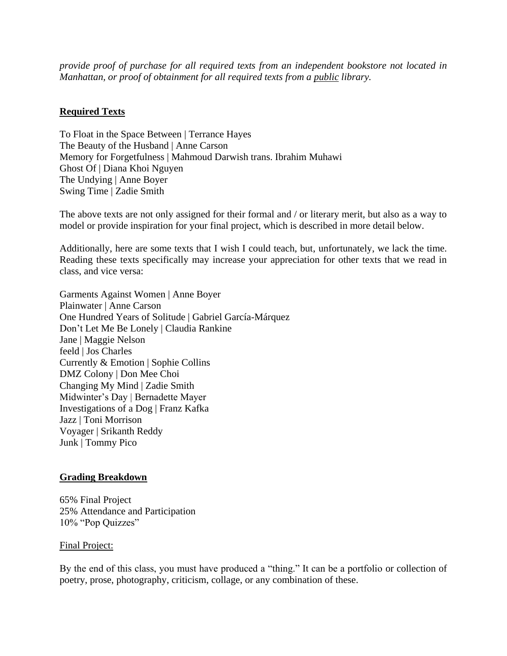*provide proof of purchase for all required texts from an independent bookstore not located in Manhattan, or proof of obtainment for all required texts from a public library.* 

## **Required Texts**

To Float in the Space Between | Terrance Hayes The Beauty of the Husband | Anne Carson Memory for Forgetfulness | Mahmoud Darwish trans. Ibrahim Muhawi Ghost Of | Diana Khoi Nguyen The Undying | Anne Boyer Swing Time | Zadie Smith

The above texts are not only assigned for their formal and / or literary merit, but also as a way to model or provide inspiration for your final project, which is described in more detail below.

Additionally, here are some texts that I wish I could teach, but, unfortunately, we lack the time. Reading these texts specifically may increase your appreciation for other texts that we read in class, and vice versa:

Garments Against Women | Anne Boyer Plainwater | Anne Carson One Hundred Years of Solitude | Gabriel García-Márquez Don't Let Me Be Lonely | Claudia Rankine Jane | Maggie Nelson feeld | Jos Charles Currently & Emotion | Sophie Collins DMZ Colony | Don Mee Choi Changing My Mind | Zadie Smith Midwinter's Day | Bernadette Mayer Investigations of a Dog | Franz Kafka Jazz | Toni Morrison Voyager | Srikanth Reddy Junk | Tommy Pico

### **Grading Breakdown**

65% Final Project 25% Attendance and Participation 10% "Pop Quizzes"

#### Final Project:

By the end of this class, you must have produced a "thing." It can be a portfolio or collection of poetry, prose, photography, criticism, collage, or any combination of these.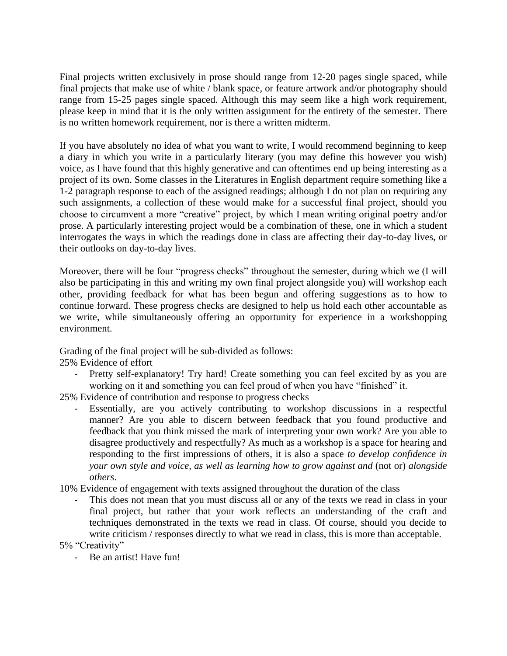Final projects written exclusively in prose should range from 12-20 pages single spaced, while final projects that make use of white / blank space, or feature artwork and/or photography should range from 15-25 pages single spaced. Although this may seem like a high work requirement, please keep in mind that it is the only written assignment for the entirety of the semester. There is no written homework requirement, nor is there a written midterm.

If you have absolutely no idea of what you want to write, I would recommend beginning to keep a diary in which you write in a particularly literary (you may define this however you wish) voice, as I have found that this highly generative and can oftentimes end up being interesting as a project of its own. Some classes in the Literatures in English department require something like a 1-2 paragraph response to each of the assigned readings; although I do not plan on requiring any such assignments, a collection of these would make for a successful final project, should you choose to circumvent a more "creative" project, by which I mean writing original poetry and/or prose. A particularly interesting project would be a combination of these, one in which a student interrogates the ways in which the readings done in class are affecting their day-to-day lives, or their outlooks on day-to-day lives.

Moreover, there will be four "progress checks" throughout the semester, during which we (I will also be participating in this and writing my own final project alongside you) will workshop each other, providing feedback for what has been begun and offering suggestions as to how to continue forward. These progress checks are designed to help us hold each other accountable as we write, while simultaneously offering an opportunity for experience in a workshopping environment.

Grading of the final project will be sub-divided as follows:

25% Evidence of effort

Pretty self-explanatory! Try hard! Create something you can feel excited by as you are working on it and something you can feel proud of when you have "finished" it.

25% Evidence of contribution and response to progress checks

- Essentially, are you actively contributing to workshop discussions in a respectful manner? Are you able to discern between feedback that you found productive and feedback that you think missed the mark of interpreting your own work? Are you able to disagree productively and respectfully? As much as a workshop is a space for hearing and responding to the first impressions of others, it is also a space *to develop confidence in your own style and voice, as well as learning how to grow against and* (not or) *alongside others*.
- 10% Evidence of engagement with texts assigned throughout the duration of the class
	- This does not mean that you must discuss all or any of the texts we read in class in your final project, but rather that your work reflects an understanding of the craft and techniques demonstrated in the texts we read in class. Of course, should you decide to write criticism / responses directly to what we read in class, this is more than acceptable.

5% "Creativity"

- Be an artist! Have fun!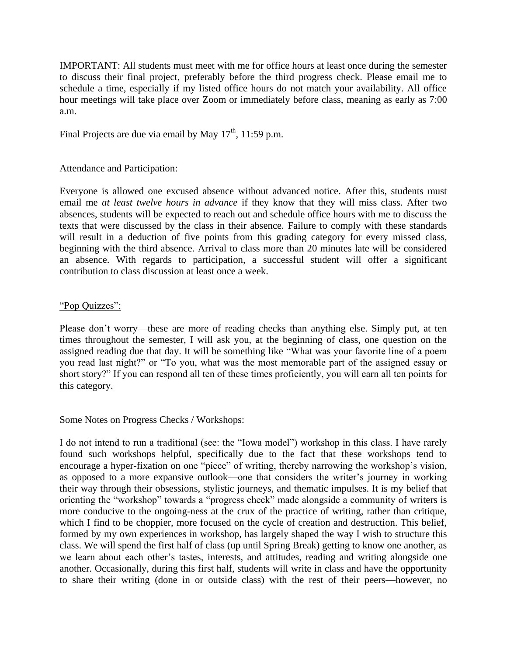IMPORTANT: All students must meet with me for office hours at least once during the semester to discuss their final project, preferably before the third progress check. Please email me to schedule a time, especially if my listed office hours do not match your availability. All office hour meetings will take place over Zoom or immediately before class, meaning as early as 7:00 a.m.

Final Projects are due via email by May  $17<sup>th</sup>$ ,  $11:59$  p.m.

## Attendance and Participation:

Everyone is allowed one excused absence without advanced notice. After this, students must email me *at least twelve hours in advance* if they know that they will miss class. After two absences, students will be expected to reach out and schedule office hours with me to discuss the texts that were discussed by the class in their absence. Failure to comply with these standards will result in a deduction of five points from this grading category for every missed class, beginning with the third absence. Arrival to class more than 20 minutes late will be considered an absence. With regards to participation, a successful student will offer a significant contribution to class discussion at least once a week.

## "Pop Quizzes":

Please don't worry—these are more of reading checks than anything else. Simply put, at ten times throughout the semester, I will ask you, at the beginning of class, one question on the assigned reading due that day. It will be something like "What was your favorite line of a poem you read last night?" or "To you, what was the most memorable part of the assigned essay or short story?" If you can respond all ten of these times proficiently, you will earn all ten points for this category.

### Some Notes on Progress Checks / Workshops:

I do not intend to run a traditional (see: the "Iowa model") workshop in this class. I have rarely found such workshops helpful, specifically due to the fact that these workshops tend to encourage a hyper-fixation on one "piece" of writing, thereby narrowing the workshop's vision, as opposed to a more expansive outlook—one that considers the writer's journey in working their way through their obsessions, stylistic journeys, and thematic impulses. It is my belief that orienting the "workshop" towards a "progress check" made alongside a community of writers is more conducive to the ongoing-ness at the crux of the practice of writing, rather than critique, which I find to be choppier, more focused on the cycle of creation and destruction. This belief, formed by my own experiences in workshop, has largely shaped the way I wish to structure this class. We will spend the first half of class (up until Spring Break) getting to know one another, as we learn about each other's tastes, interests, and attitudes, reading and writing alongside one another. Occasionally, during this first half, students will write in class and have the opportunity to share their writing (done in or outside class) with the rest of their peers—however, no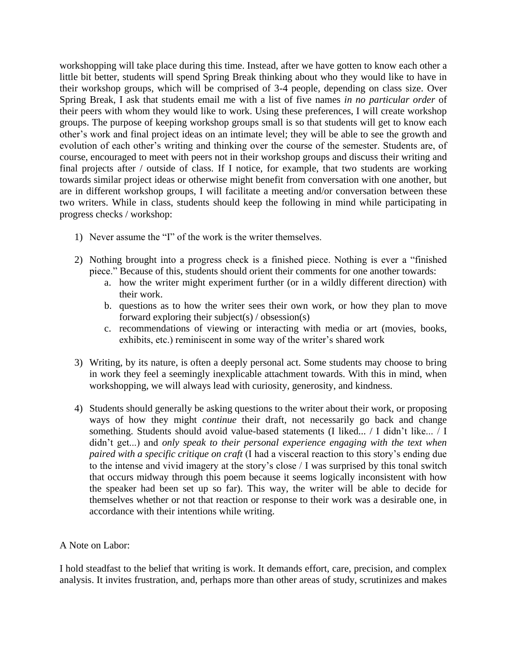workshopping will take place during this time. Instead, after we have gotten to know each other a little bit better, students will spend Spring Break thinking about who they would like to have in their workshop groups, which will be comprised of 3-4 people, depending on class size. Over Spring Break, I ask that students email me with a list of five names *in no particular order* of their peers with whom they would like to work. Using these preferences, I will create workshop groups. The purpose of keeping workshop groups small is so that students will get to know each other's work and final project ideas on an intimate level; they will be able to see the growth and evolution of each other's writing and thinking over the course of the semester. Students are, of course, encouraged to meet with peers not in their workshop groups and discuss their writing and final projects after / outside of class. If I notice, for example, that two students are working towards similar project ideas or otherwise might benefit from conversation with one another, but are in different workshop groups, I will facilitate a meeting and/or conversation between these two writers. While in class, students should keep the following in mind while participating in progress checks / workshop:

- 1) Never assume the "I" of the work is the writer themselves.
- 2) Nothing brought into a progress check is a finished piece. Nothing is ever a "finished piece." Because of this, students should orient their comments for one another towards:
	- a. how the writer might experiment further (or in a wildly different direction) with their work.
	- b. questions as to how the writer sees their own work, or how they plan to move forward exploring their subject(s)  $\prime$  obsession(s)
	- c. recommendations of viewing or interacting with media or art (movies, books, exhibits, etc.) reminiscent in some way of the writer's shared work
- 3) Writing, by its nature, is often a deeply personal act. Some students may choose to bring in work they feel a seemingly inexplicable attachment towards. With this in mind, when workshopping, we will always lead with curiosity, generosity, and kindness.
- 4) Students should generally be asking questions to the writer about their work, or proposing ways of how they might *continue* their draft, not necessarily go back and change something. Students should avoid value-based statements (I liked... / I didn't like... / I didn't get...) and *only speak to their personal experience engaging with the text when paired with a specific critique on craft* (I had a visceral reaction to this story's ending due to the intense and vivid imagery at the story's close / I was surprised by this tonal switch that occurs midway through this poem because it seems logically inconsistent with how the speaker had been set up so far). This way, the writer will be able to decide for themselves whether or not that reaction or response to their work was a desirable one, in accordance with their intentions while writing.

### A Note on Labor:

I hold steadfast to the belief that writing is work. It demands effort, care, precision, and complex analysis. It invites frustration, and, perhaps more than other areas of study, scrutinizes and makes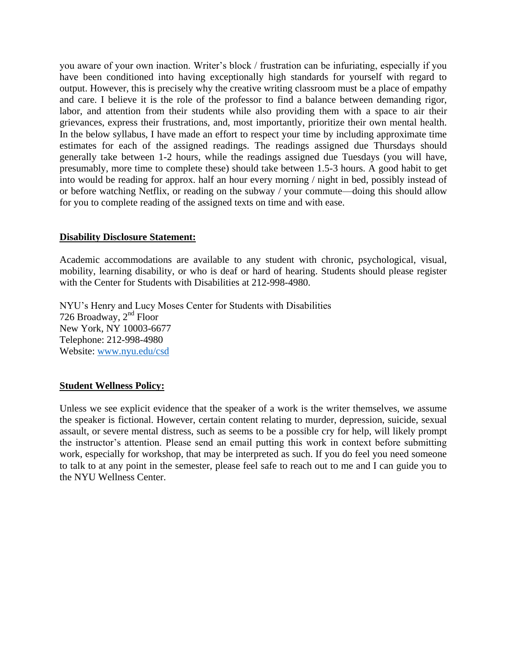you aware of your own inaction. Writer's block / frustration can be infuriating, especially if you have been conditioned into having exceptionally high standards for yourself with regard to output. However, this is precisely why the creative writing classroom must be a place of empathy and care. I believe it is the role of the professor to find a balance between demanding rigor, labor, and attention from their students while also providing them with a space to air their grievances, express their frustrations, and, most importantly, prioritize their own mental health. In the below syllabus, I have made an effort to respect your time by including approximate time estimates for each of the assigned readings. The readings assigned due Thursdays should generally take between 1-2 hours, while the readings assigned due Tuesdays (you will have, presumably, more time to complete these) should take between 1.5-3 hours. A good habit to get into would be reading for approx. half an hour every morning / night in bed, possibly instead of or before watching Netflix, or reading on the subway / your commute—doing this should allow for you to complete reading of the assigned texts on time and with ease.

## **Disability Disclosure Statement:**

Academic accommodations are available to any student with chronic, psychological, visual, mobility, learning disability, or who is deaf or hard of hearing. Students should please register with the Center for Students with Disabilities at 212-998-4980.

NYU's Henry and Lucy Moses Center for Students with Disabilities 726 Broadway,  $2<sup>nd</sup>$  Floor New York, NY 10003-6677 Telephone: 212-998-4980 Website: [www.nyu.edu/csd](http://www.nyu.edu/csd)

## **Student Wellness Policy:**

Unless we see explicit evidence that the speaker of a work is the writer themselves, we assume the speaker is fictional. However, certain content relating to murder, depression, suicide, sexual assault, or severe mental distress, such as seems to be a possible cry for help, will likely prompt the instructor's attention. Please send an email putting this work in context before submitting work, especially for workshop, that may be interpreted as such. If you do feel you need someone to talk to at any point in the semester, please feel safe to reach out to me and I can guide you to the NYU Wellness Center.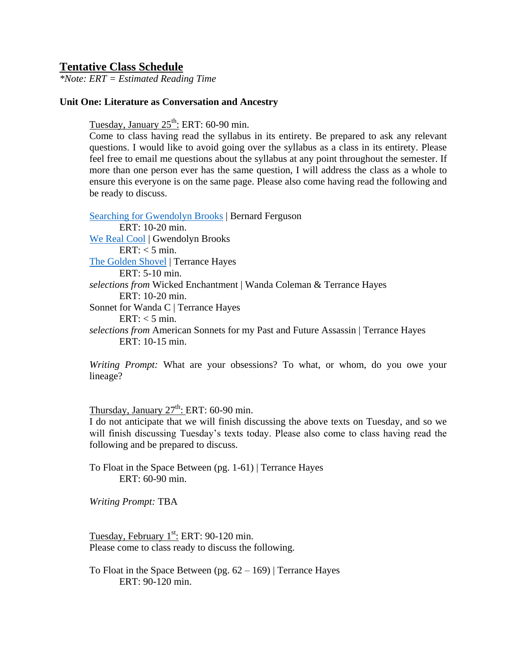## **Tentative Class Schedule**

*\*Note: ERT = Estimated Reading Time*

#### **Unit One: Literature as Conversation and Ancestry**

Tuesday, January 25<sup>th</sup>: ERT: 60-90 min.

Come to class having read the syllabus in its entirety. Be prepared to ask any relevant questions. I would like to avoid going over the syllabus as a class in its entirety. Please feel free to email me questions about the syllabus at any point throughout the semester. If more than one person ever has the same question, I will address the class as a whole to ensure this everyone is on the same page. Please also come having read the following and be ready to discuss.

[Searching for Gwendolyn Brooks](https://www.theparisreview.org/blog/2021/02/16/searching-for-gwendolyn-brooks/) | Bernard Ferguson ERT: 10-20 min. [We Real Cool](https://www.poetryfoundation.org/poetrymagazine/poems/28112/we-real-cool) | Gwendolyn Brooks  $ERT: < 5 min.$ [The Golden Shovel](https://www.poetryfoundation.org/poems/55678/the-golden-shovel) | Terrance Hayes ERT: 5-10 min. *selections from* Wicked Enchantment | Wanda Coleman & Terrance Hayes ERT: 10-20 min. Sonnet for Wanda C | Terrance Hayes ERT:  $<$  5 min. *selections from* American Sonnets for my Past and Future Assassin | Terrance Hayes ERT: 10-15 min.

*Writing Prompt:* What are your obsessions? To what, or whom, do you owe your lineage?

Thursday, January  $27^{\text{th}}$ : ERT: 60-90 min.

I do not anticipate that we will finish discussing the above texts on Tuesday, and so we will finish discussing Tuesday's texts today. Please also come to class having read the following and be prepared to discuss.

To Float in the Space Between (pg. 1-61) | Terrance Hayes ERT: 60-90 min.

*Writing Prompt:* TBA

Tuesday, February  $1^{st}$ : ERT: 90-120 min. Please come to class ready to discuss the following.

To Float in the Space Between (pg.  $62 - 169$ ) | Terrance Hayes ERT: 90-120 min.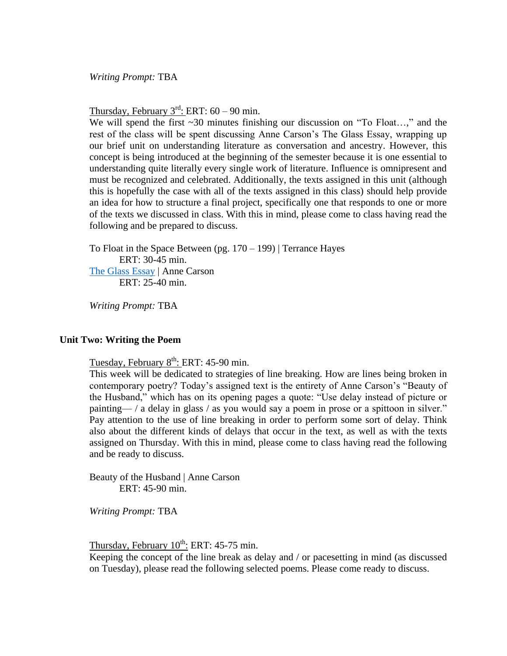*Writing Prompt:* TBA

Thursday, February  $3^{\text{rd}}$ : ERT: 60 – 90 min.

We will spend the first ~30 minutes finishing our discussion on "To Float...," and the rest of the class will be spent discussing Anne Carson's The Glass Essay, wrapping up our brief unit on understanding literature as conversation and ancestry. However, this concept is being introduced at the beginning of the semester because it is one essential to understanding quite literally every single work of literature. Influence is omnipresent and must be recognized and celebrated. Additionally, the texts assigned in this unit (although this is hopefully the case with all of the texts assigned in this class) should help provide an idea for how to structure a final project, specifically one that responds to one or more of the texts we discussed in class. With this in mind, please come to class having read the following and be prepared to discuss.

To Float in the Space Between (pg.  $170 - 199$ ) | Terrance Hayes ERT: 30-45 min. [The Glass Essay](https://www.poetryfoundation.org/poems/48636/the-glass-essay) | Anne Carson ERT: 25-40 min.

*Writing Prompt:* TBA

#### **Unit Two: Writing the Poem**

Tuesday, February 8<sup>th</sup>: ERT: 45-90 min.

This week will be dedicated to strategies of line breaking. How are lines being broken in contemporary poetry? Today's assigned text is the entirety of Anne Carson's "Beauty of the Husband," which has on its opening pages a quote: "Use delay instead of picture or painting— / a delay in glass / as you would say a poem in prose or a spittoon in silver." Pay attention to the use of line breaking in order to perform some sort of delay. Think also about the different kinds of delays that occur in the text, as well as with the texts assigned on Thursday. With this in mind, please come to class having read the following and be ready to discuss.

Beauty of the Husband | Anne Carson ERT: 45-90 min.

*Writing Prompt:* TBA

Thursday, February  $10^{th}$ : ERT: 45-75 min.

Keeping the concept of the line break as delay and / or pacesetting in mind (as discussed on Tuesday), please read the following selected poems. Please come ready to discuss.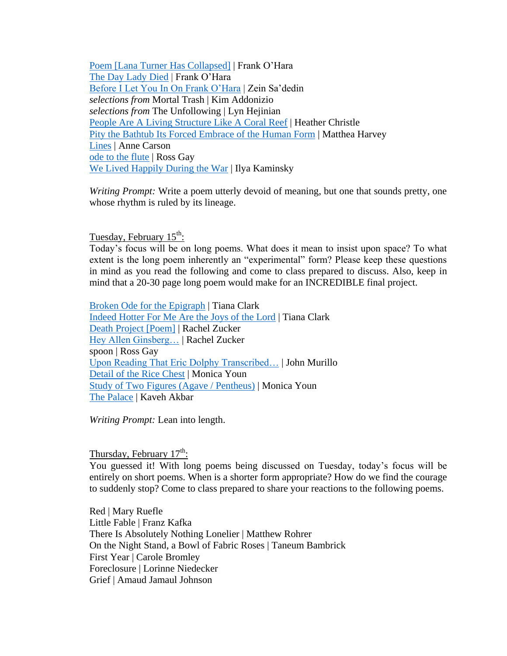[Poem \[Lana Turner Has Collapsed\]](https://www.poetryfoundation.org/poems/57556/poem-lana-turner-has-collapsed) | Frank O'Hara [The Day Lady Died](https://www.poetryfoundation.org/poems/42657/the-day-lady-died) | Frank O'Hara [Before I Let You In On Frank O'Hara](https://twitter.com/BaileyC213/status/1356472183187525632?s=20) | Zein Sa'dedin *selections from* Mortal Trash | Kim Addonizio *selections from* The Unfollowing | Lyn Hejinian [People Are A Living Structure Like A Coral Reef](https://twitter.com/Paige_M_Lewis/status/1074490584180645888?s=20) | Heather Christle [Pity the Bathtub Its Forced Embrace of the Human Form](https://www.poetryfoundation.org/poems/51614/pity-the-bathtub-its-forced-embrace-of-the-human-form) | Matthea Harvey [Lines](https://twitter.com/BaileyC213/status/1326579999705600001?s=20) | Anne Carson [ode to the flute](https://www.poetryfoundation.org/poems/156274/ode-to-the-flute) | Ross Gay [We Lived Happily During the](https://www.poetryfoundation.org/poems/91413/we-lived-happily-during-the-war) War | Ilya Kaminsky

*Writing Prompt:* Write a poem utterly devoid of meaning, but one that sounds pretty, one whose rhythm is ruled by its lineage.

Tuesday, February 15<sup>th</sup>:

Today's focus will be on long poems. What does it mean to insist upon space? To what extent is the long poem inherently an "experimental" form? Please keep these questions in mind as you read the following and come to class prepared to discuss. Also, keep in mind that a 20-30 page long poem would make for an INCREDIBLE final project.

[Broken Ode for the Epigraph](https://tinhouse.com/broken-ode-for-the-epigraph/) | Tiana Clark [Indeed Hotter For Me Are the Joys of the Lord](https://www.missourireview.com/tiana-clark-indeed-hotter-for-me-are-the-joys-of-the-lord/) | Tiana Clark [Death Project \[Poem\]](https://aprweb.org/poems/death-project-poem) | Rachel Zucker [Hey Allen Ginsberg…](https://www.poetryfoundation.org/poems/53357/hey-allen-ginsberg-where-have-you-gone-and-what-would-you-think-of-my-drugs) | Rachel Zucker spoon | Ross Gay [Upon Reading That Eric Dolphy Transcribed…](https://www.poetryfoundation.org/poetrymagazine/poems/58805/upon-reading-that-eric-dolphy-transcribed-even-the-calls-of-certain-species-of-birds) | John Murillo [Detail of the Rice Chest](https://harpers.org/archive/2021/02/detail-of-the-rice-chest-monica-youn/) | Monica Youn [Study of Two Figures \(Agave / Pentheus\)](https://yalereview.org/article/study-two-figures-agavepentheus) | Monica Youn [The Palace](https://www.newyorker.com/books/poems/kaveh-akbar-the-palace) | Kaveh Akbar

*Writing Prompt:* Lean into length.

Thursday, February  $17^{\text{th}}$ :

You guessed it! With long poems being discussed on Tuesday, today's focus will be entirely on short poems. When is a shorter form appropriate? How do we find the courage to suddenly stop? Come to class prepared to share your reactions to the following poems.

Red | Mary Ruefle Little Fable | Franz Kafka There Is Absolutely Nothing Lonelier | Matthew Rohrer On the Night Stand, a Bowl of Fabric Roses | Taneum Bambrick First Year | Carole Bromley Foreclosure | Lorinne Niedecker Grief | Amaud Jamaul Johnson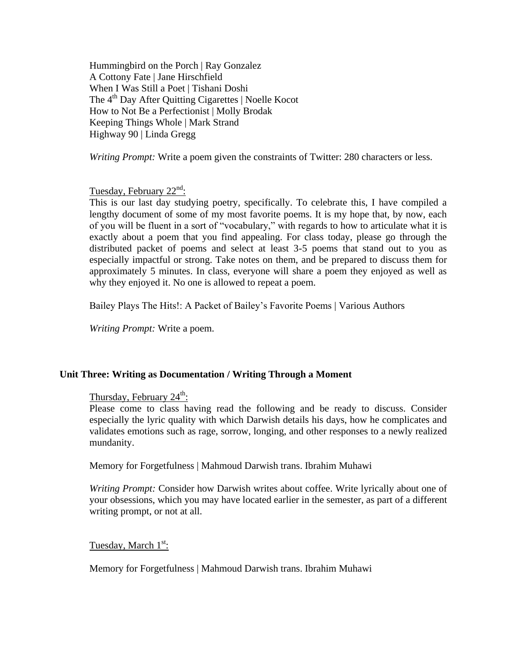Hummingbird on the Porch | Ray Gonzalez A Cottony Fate | Jane Hirschfield When I Was Still a Poet | Tishani Doshi The 4<sup>th</sup> Day After Quitting Cigarettes | Noelle Kocot How to Not Be a Perfectionist | Molly Brodak Keeping Things Whole | Mark Strand Highway 90 | Linda Gregg

*Writing Prompt:* Write a poem given the constraints of Twitter: 280 characters or less.

Tuesday, February 22<sup>nd</sup>:

This is our last day studying poetry, specifically. To celebrate this, I have compiled a lengthy document of some of my most favorite poems. It is my hope that, by now, each of you will be fluent in a sort of "vocabulary," with regards to how to articulate what it is exactly about a poem that you find appealing. For class today, please go through the distributed packet of poems and select at least 3-5 poems that stand out to you as especially impactful or strong. Take notes on them, and be prepared to discuss them for approximately 5 minutes. In class, everyone will share a poem they enjoyed as well as why they enjoyed it. No one is allowed to repeat a poem.

Bailey Plays The Hits!: A Packet of Bailey's Favorite Poems | Various Authors

*Writing Prompt:* Write a poem.

#### **Unit Three: Writing as Documentation / Writing Through a Moment**

## Thursday, February 24<sup>th</sup>:

Please come to class having read the following and be ready to discuss. Consider especially the lyric quality with which Darwish details his days, how he complicates and validates emotions such as rage, sorrow, longing, and other responses to a newly realized mundanity.

Memory for Forgetfulness | Mahmoud Darwish trans. Ibrahim Muhawi

*Writing Prompt:* Consider how Darwish writes about coffee. Write lyrically about one of your obsessions, which you may have located earlier in the semester, as part of a different writing prompt, or not at all.

Tuesday, March 1<sup>st</sup>:

Memory for Forgetfulness | Mahmoud Darwish trans. Ibrahim Muhawi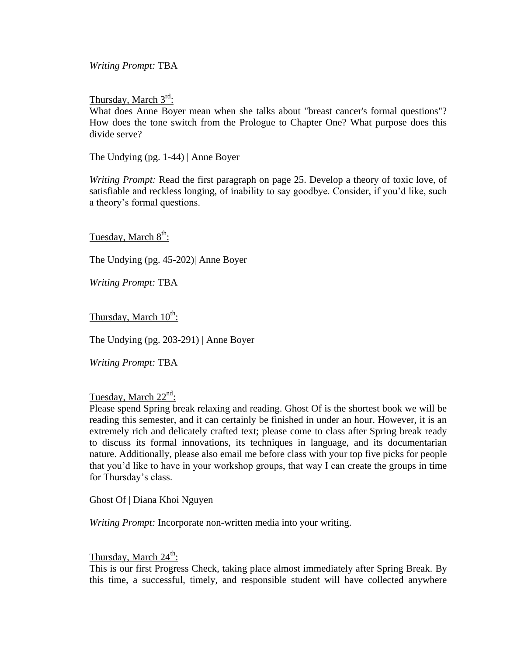*Writing Prompt:* TBA

Thursday, March 3<sup>rd</sup>:

What does Anne Boyer mean when she talks about "breast cancer's formal questions"? How does the tone switch from the Prologue to Chapter One? What purpose does this divide serve?

The Undying (pg. 1-44) | Anne Boyer

*Writing Prompt:* Read the first paragraph on page 25. Develop a theory of toxic love, of satisfiable and reckless longing, of inability to say goodbye. Consider, if you'd like, such a theory's formal questions.

Tuesday, March 8<sup>th</sup>:

The Undying (pg. 45-202)| Anne Boyer

*Writing Prompt:* TBA

Thursday, March 10<sup>th</sup>:

The Undying (pg. 203-291) | Anne Boyer

*Writing Prompt:* TBA

## Tuesday, March 22<sup>nd</sup>:

Please spend Spring break relaxing and reading. Ghost Of is the shortest book we will be reading this semester, and it can certainly be finished in under an hour. However, it is an extremely rich and delicately crafted text; please come to class after Spring break ready to discuss its formal innovations, its techniques in language, and its documentarian nature. Additionally, please also email me before class with your top five picks for people that you'd like to have in your workshop groups, that way I can create the groups in time for Thursday's class.

Ghost Of | Diana Khoi Nguyen

*Writing Prompt:* Incorporate non-written media into your writing.

Thursday, March 24<sup>th</sup>:

This is our first Progress Check, taking place almost immediately after Spring Break. By this time, a successful, timely, and responsible student will have collected anywhere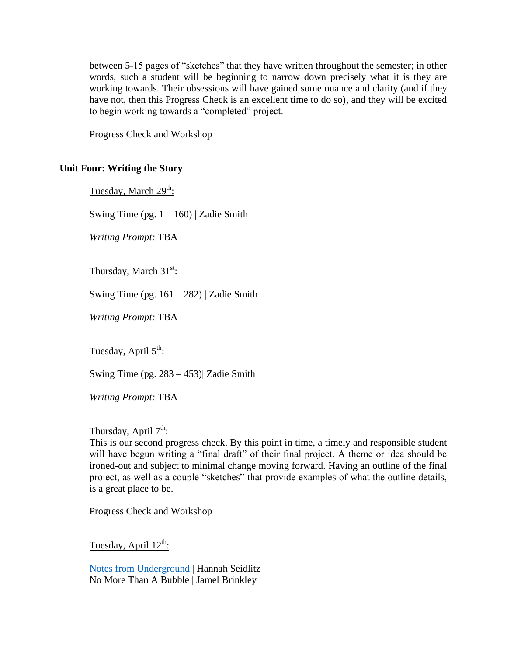between 5-15 pages of "sketches" that they have written throughout the semester; in other words, such a student will be beginning to narrow down precisely what it is they are working towards. Their obsessions will have gained some nuance and clarity (and if they have not, then this Progress Check is an excellent time to do so), and they will be excited to begin working towards a "completed" project.

Progress Check and Workshop

### **Unit Four: Writing the Story**

Tuesday, March 29<sup>th</sup>:

Swing Time (pg.  $1 - 160$ ) | Zadie Smith

*Writing Prompt:* TBA

Thursday, March 31<sup>st</sup>:

Swing Time (pg.  $161 - 282$ ) | Zadie Smith

*Writing Prompt:* TBA

Tuesday, April 5<sup>th</sup>:

Swing Time (pg. 283 – 453)| Zadie Smith

*Writing Prompt:* TBA

## Thursday, April 7<sup>th</sup>:

This is our second progress check. By this point in time, a timely and responsible student will have begun writing a "final draft" of their final project. A theme or idea should be ironed-out and subject to minimal change moving forward. Having an outline of the final project, as well as a couple "sketches" that provide examples of what the outline details, is a great place to be.

Progress Check and Workshop

Tuesday, April 12<sup>th</sup>:

[Notes from Underground](http://columbiajournal.org/notes-from-underground/) | Hannah Seidlitz No More Than A Bubble | Jamel Brinkley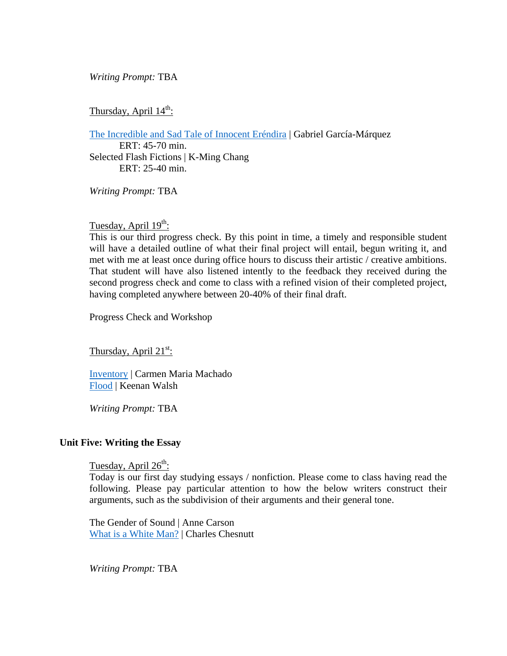### *Writing Prompt:* TBA

## Thursday, April 14<sup>th</sup>:

[The Incredible and Sad Tale of Innocent Eréndira](https://www.esquire.com/news-politics/news/a28381/erendira-and-her-heartless-grandmother/) | Gabriel García-Márquez

ERT: 45-70 min. Selected Flash Fictions | K-Ming Chang ERT: 25-40 min.

*Writing Prompt:* TBA

## Tuesday, April 19<sup>th</sup>:

This is our third progress check. By this point in time, a timely and responsible student will have a detailed outline of what their final project will entail, begun writing it, and met with me at least once during office hours to discuss their artistic / creative ambitions. That student will have also listened intently to the feedback they received during the second progress check and come to class with a refined vision of their completed project, having completed anywhere between 20-40% of their final draft.

Progress Check and Workshop

Thursday, April  $21^{st}$ :

[Inventory](https://lithub.com/inventory/) | Carmen Maria Machado [Flood](https://americanshortfiction.org/flood/) | Keenan Walsh

*Writing Prompt:* TBA

#### **Unit Five: Writing the Essay**

Tuesday, April 26<sup>th</sup>:

Today is our first day studying essays / nonfiction. Please come to class having read the following. Please pay particular attention to how the below writers construct their arguments, such as the subdivision of their arguments and their general tone.

The Gender of Sound | Anne Carson [What is a White Man?](https://chesnuttarchive.org/item/ccda.works00039) | Charles Chesnutt

*Writing Prompt:* TBA